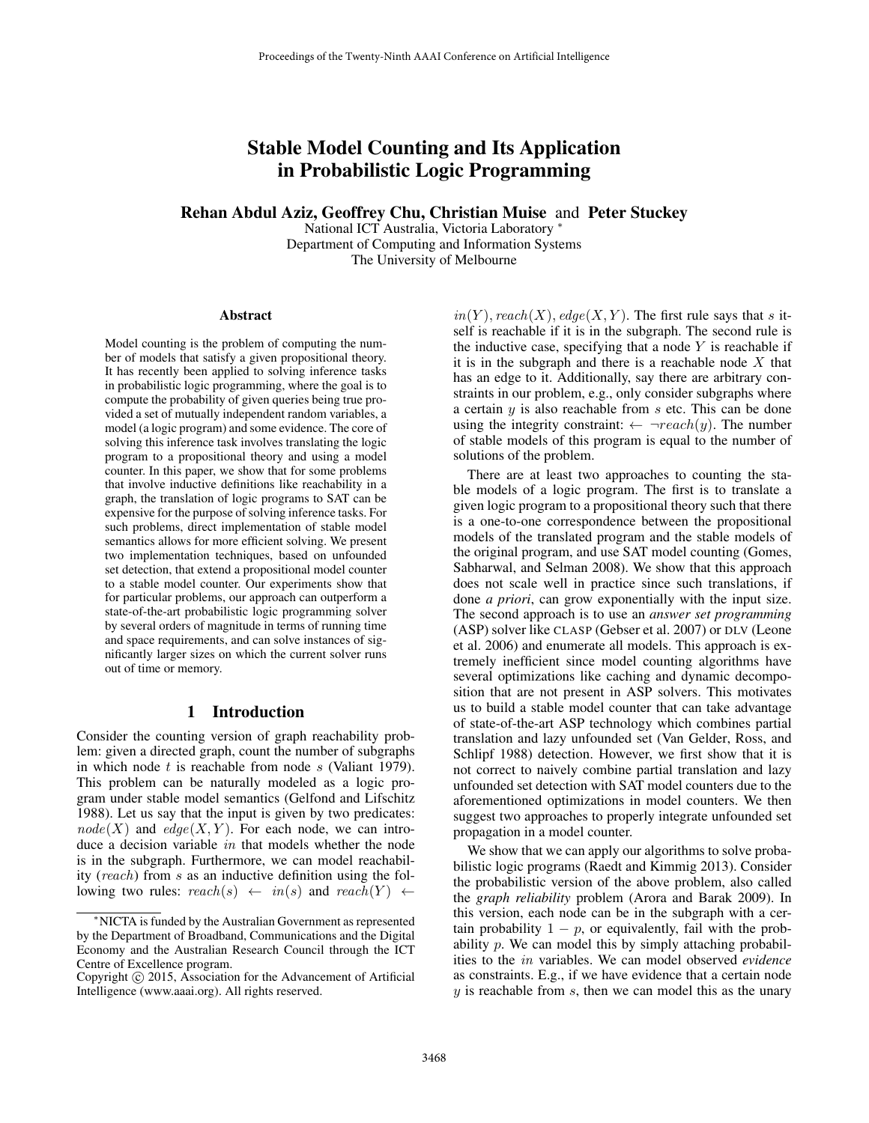# Stable Model Counting and Its Application in Probabilistic Logic Programming

Rehan Abdul Aziz, Geoffrey Chu, Christian Muise and Peter Stuckey

National ICT Australia, Victoria Laboratory <sup>∗</sup> Department of Computing and Information Systems The University of Melbourne

#### Abstract

Model counting is the problem of computing the number of models that satisfy a given propositional theory. It has recently been applied to solving inference tasks in probabilistic logic programming, where the goal is to compute the probability of given queries being true provided a set of mutually independent random variables, a model (a logic program) and some evidence. The core of solving this inference task involves translating the logic program to a propositional theory and using a model counter. In this paper, we show that for some problems that involve inductive definitions like reachability in a graph, the translation of logic programs to SAT can be expensive for the purpose of solving inference tasks. For such problems, direct implementation of stable model semantics allows for more efficient solving. We present two implementation techniques, based on unfounded set detection, that extend a propositional model counter to a stable model counter. Our experiments show that for particular problems, our approach can outperform a state-of-the-art probabilistic logic programming solver by several orders of magnitude in terms of running time and space requirements, and can solve instances of significantly larger sizes on which the current solver runs out of time or memory.

#### 1 Introduction

Consider the counting version of graph reachability problem: given a directed graph, count the number of subgraphs in which node  $t$  is reachable from node  $s$  (Valiant 1979). This problem can be naturally modeled as a logic program under stable model semantics (Gelfond and Lifschitz 1988). Let us say that the input is given by two predicates:  $node(X)$  and  $edge(X, Y)$ . For each node, we can introduce a decision variable in that models whether the node is in the subgraph. Furthermore, we can model reachability (reach) from s as an inductive definition using the following two rules:  $reach(s) \leftarrow in(s)$  and  $reach(Y) \leftarrow$ 

 $in(Y)$ , reach(X), edge(X, Y). The first rule says that s itself is reachable if it is in the subgraph. The second rule is the inductive case, specifying that a node  $Y$  is reachable if it is in the subgraph and there is a reachable node  $X$  that has an edge to it. Additionally, say there are arbitrary constraints in our problem, e.g., only consider subgraphs where a certain  $y$  is also reachable from  $s$  etc. This can be done using the integrity constraint:  $\leftarrow \neg reach(y)$ . The number of stable models of this program is equal to the number of solutions of the problem.

There are at least two approaches to counting the stable models of a logic program. The first is to translate a given logic program to a propositional theory such that there is a one-to-one correspondence between the propositional models of the translated program and the stable models of the original program, and use SAT model counting (Gomes, Sabharwal, and Selman 2008). We show that this approach does not scale well in practice since such translations, if done *a priori*, can grow exponentially with the input size. The second approach is to use an *answer set programming* (ASP) solver like CLASP (Gebser et al. 2007) or DLV (Leone et al. 2006) and enumerate all models. This approach is extremely inefficient since model counting algorithms have several optimizations like caching and dynamic decomposition that are not present in ASP solvers. This motivates us to build a stable model counter that can take advantage of state-of-the-art ASP technology which combines partial translation and lazy unfounded set (Van Gelder, Ross, and Schlipf 1988) detection. However, we first show that it is not correct to naively combine partial translation and lazy unfounded set detection with SAT model counters due to the aforementioned optimizations in model counters. We then suggest two approaches to properly integrate unfounded set propagation in a model counter.

We show that we can apply our algorithms to solve probabilistic logic programs (Raedt and Kimmig 2013). Consider the probabilistic version of the above problem, also called the *graph reliability* problem (Arora and Barak 2009). In this version, each node can be in the subgraph with a certain probability  $1 - p$ , or equivalently, fail with the probability  $p$ . We can model this by simply attaching probabilities to the in variables. We can model observed *evidence* as constraints. E.g., if we have evidence that a certain node  $y$  is reachable from  $s$ , then we can model this as the unary

<sup>∗</sup>NICTA is funded by the Australian Government as represented by the Department of Broadband, Communications and the Digital Economy and the Australian Research Council through the ICT Centre of Excellence program.

Copyright © 2015, Association for the Advancement of Artificial Intelligence (www.aaai.org). All rights reserved.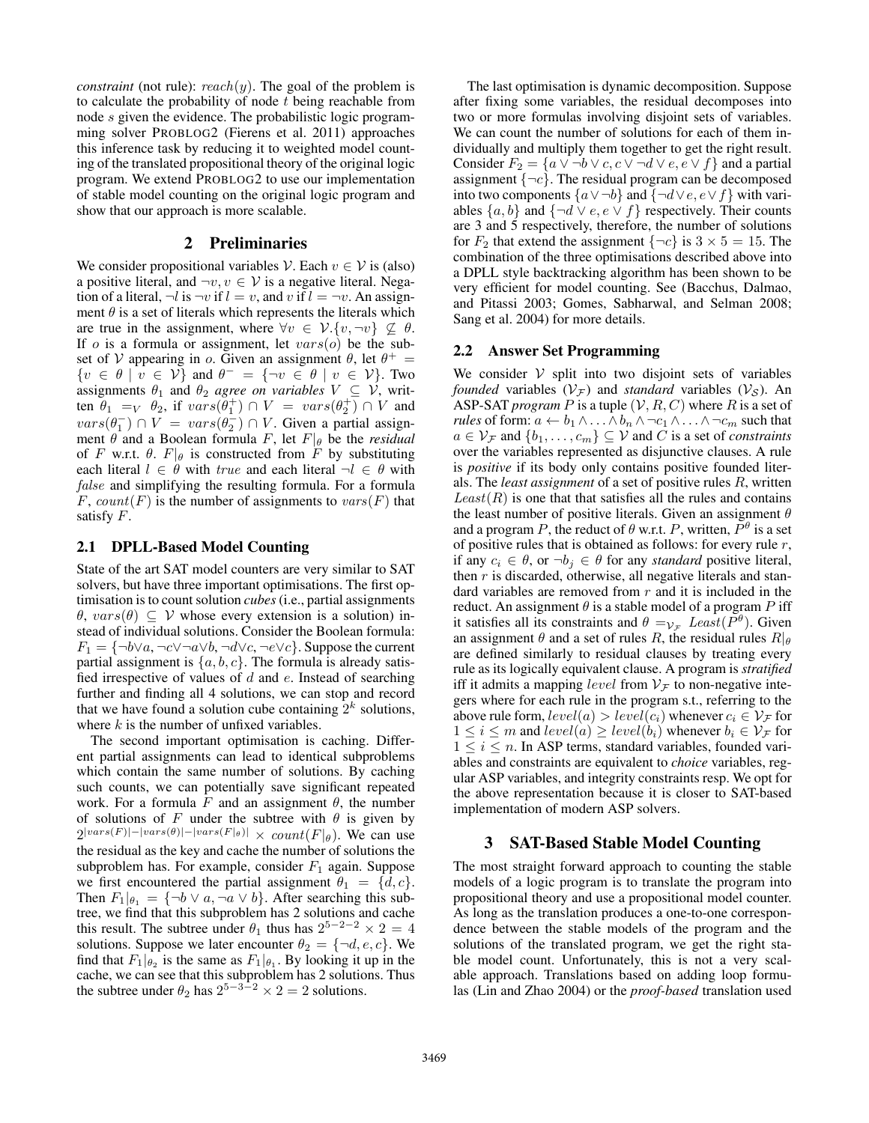*constraint* (not rule):  $reach(y)$ . The goal of the problem is to calculate the probability of node  $t$  being reachable from node s given the evidence. The probabilistic logic programming solver PROBLOG2 (Fierens et al. 2011) approaches this inference task by reducing it to weighted model counting of the translated propositional theory of the original logic program. We extend PROBLOG2 to use our implementation of stable model counting on the original logic program and show that our approach is more scalable.

#### 2 Preliminaries

We consider propositional variables  $\mathcal{V}$ . Each  $v \in \mathcal{V}$  is (also) a positive literal, and  $\neg v, v \in V$  is a negative literal. Negation of a literal,  $\neg l$  is  $\neg v$  if  $l = v$ , and v if  $l = \neg v$ . An assignment  $\theta$  is a set of literals which represents the literals which are true in the assignment, where  $\forall v \in V$ .  $\{v, \neg v\} \nsubseteq \theta$ . If o is a formula or assignment, let  $vars(o)$  be the subset of V appearing in o. Given an assignment  $\theta$ , let  $\theta^+$  =  $\{v \in \theta \mid v \in \mathcal{V}\}\$ and  $\theta^- = \{\neg v \in \theta \mid v \in \mathcal{V}\}\$ . Two assignments  $\theta_1$  and  $\theta_2$  *agree on variables*  $V \subseteq V$ , written  $\theta_1 =_V \theta_2$ , if  $vars(\theta_1^+) \cap V = vars(\theta_2^+) \cap V$  and  $vars(\theta_1^-) \cap V = vars(\theta_2^-) \cap V$ . Given a partial assignment  $\theta$  and a Boolean formula F, let  $F|_\theta$  be the *residual* of F w.r.t.  $\theta$ .  $F|_{\theta}$  is constructed from F by substituting each literal  $l \in \theta$  with *true* and each literal  $\neg l \in \theta$  with false and simplifying the resulting formula. For a formula F, count  $(F)$  is the number of assignments to  $vars(F)$  that satisfy F.

#### 2.1 DPLL-Based Model Counting

State of the art SAT model counters are very similar to SAT solvers, but have three important optimisations. The first optimisation is to count solution *cubes*(i.e., partial assignments  $\theta$ ,  $vars(\theta) \subseteq V$  whose every extension is a solution) instead of individual solutions. Consider the Boolean formula:  $F_1 = \{\neg b \lor a, \neg c \lor \neg a \lor b, \neg d \lor c, \neg e \lor c\}$ . Suppose the current partial assignment is  $\{a, b, c\}$ . The formula is already satisfied irrespective of values of  $d$  and  $e$ . Instead of searching further and finding all 4 solutions, we can stop and record that we have found a solution cube containing  $2^k$  solutions, where  $k$  is the number of unfixed variables.

The second important optimisation is caching. Different partial assignments can lead to identical subproblems which contain the same number of solutions. By caching such counts, we can potentially save significant repeated work. For a formula F and an assignment  $\theta$ , the number of solutions of F under the subtree with  $\theta$  is given by  $2^{|vars(F)|-|vars(\theta)|-|vars(F|_{\theta})|} \times count(F|_{\theta})$ . We can use the residual as the key and cache the number of solutions the subproblem has. For example, consider  $F_1$  again. Suppose we first encountered the partial assignment  $\theta_1 = \{d, c\}.$ Then  $F_1|_{\theta_1} = {\neg b \lor a, \neg a \lor b}$ . After searching this subtree, we find that this subproblem has 2 solutions and cache this result. The subtree under  $\theta_1$  thus has  $2^{5-2-2} \times 2 = 4$ solutions. Suppose we later encounter  $\theta_2 = \{\neg d, e, c\}$ . We find that  $F_1|_{\theta_2}$  is the same as  $F_1|_{\theta_1}$ . By looking it up in the cache, we can see that this subproblem has 2 solutions. Thus the subtree under  $\theta_2$  has  $2^{5-3-2} \times 2 = 2$  solutions.

The last optimisation is dynamic decomposition. Suppose after fixing some variables, the residual decomposes into two or more formulas involving disjoint sets of variables. We can count the number of solutions for each of them individually and multiply them together to get the right result. Consider  $F_2 = \{a \lor \neg b \lor c, c \lor \neg d \lor e, e \lor f\}$  and a partial assignment  $\{\neg c\}$ . The residual program can be decomposed into two components  $\{a \lor \neg b\}$  and  $\{\neg d \lor e, e \lor f\}$  with variables  $\{a, b\}$  and  $\{\neg d \lor e, e \lor f\}$  respectively. Their counts are 3 and 5 respectively, therefore, the number of solutions for  $F_2$  that extend the assignment  $\{\neg c\}$  is  $3 \times 5 = 15$ . The combination of the three optimisations described above into a DPLL style backtracking algorithm has been shown to be very efficient for model counting. See (Bacchus, Dalmao, and Pitassi 2003; Gomes, Sabharwal, and Selman 2008; Sang et al. 2004) for more details.

#### 2.2 Answer Set Programming

We consider  $V$  split into two disjoint sets of variables *founded* variables  $(V_{\mathcal{F}})$  and *standard* variables  $(V_{\mathcal{S}})$ . An ASP-SAT *program*  $P$  is a tuple  $(V, R, C)$  where  $R$  is a set of *rules* of form:  $a \leftarrow b_1 \wedge \ldots \wedge b_n \wedge \neg c_1 \wedge \ldots \wedge \neg c_m$  such that  $a \in \mathcal{V}_{\mathcal{F}}$  and  $\{b_1, \ldots, c_m\} \subseteq \mathcal{V}$  and C is a set of *constraints* over the variables represented as disjunctive clauses. A rule is *positive* if its body only contains positive founded literals. The *least assignment* of a set of positive rules R, written  $Least(R)$  is one that that satisfies all the rules and contains the least number of positive literals. Given an assignment  $\theta$ and a program P, the reduct of  $\theta$  w.r.t. P, written,  $\overline{P}^{\theta}$  is a set of positive rules that is obtained as follows: for every rule  $r$ , if any  $c_i \in \theta$ , or  $\neg b_i \in \theta$  for any *standard* positive literal, then  $r$  is discarded, otherwise, all negative literals and standard variables are removed from  $r$  and it is included in the reduct. An assignment  $\theta$  is a stable model of a program P iff it satisfies all its constraints and  $\theta = v_F$  Least( $\overline{P}^{\theta}$ ). Given an assignment  $\theta$  and a set of rules R, the residual rules  $R|_{\theta}$ are defined similarly to residual clauses by treating every rule as its logically equivalent clause. A program is *stratified* iff it admits a mapping *level* from  $V_F$  to non-negative integers where for each rule in the program s.t., referring to the above rule form,  $level(a) > level(c_i)$  whenever  $c_i \in V_{\mathcal{F}}$  for  $1 \leq i \leq m$  and  $level(a) \geq level(b_i)$  whenever  $b_i \in V_{\mathcal{F}}$  for  $1 \leq i \leq n$ . In ASP terms, standard variables, founded variables and constraints are equivalent to *choice* variables, regular ASP variables, and integrity constraints resp. We opt for the above representation because it is closer to SAT-based implementation of modern ASP solvers.

#### 3 SAT-Based Stable Model Counting

The most straight forward approach to counting the stable models of a logic program is to translate the program into propositional theory and use a propositional model counter. As long as the translation produces a one-to-one correspondence between the stable models of the program and the solutions of the translated program, we get the right stable model count. Unfortunately, this is not a very scalable approach. Translations based on adding loop formulas (Lin and Zhao 2004) or the *proof-based* translation used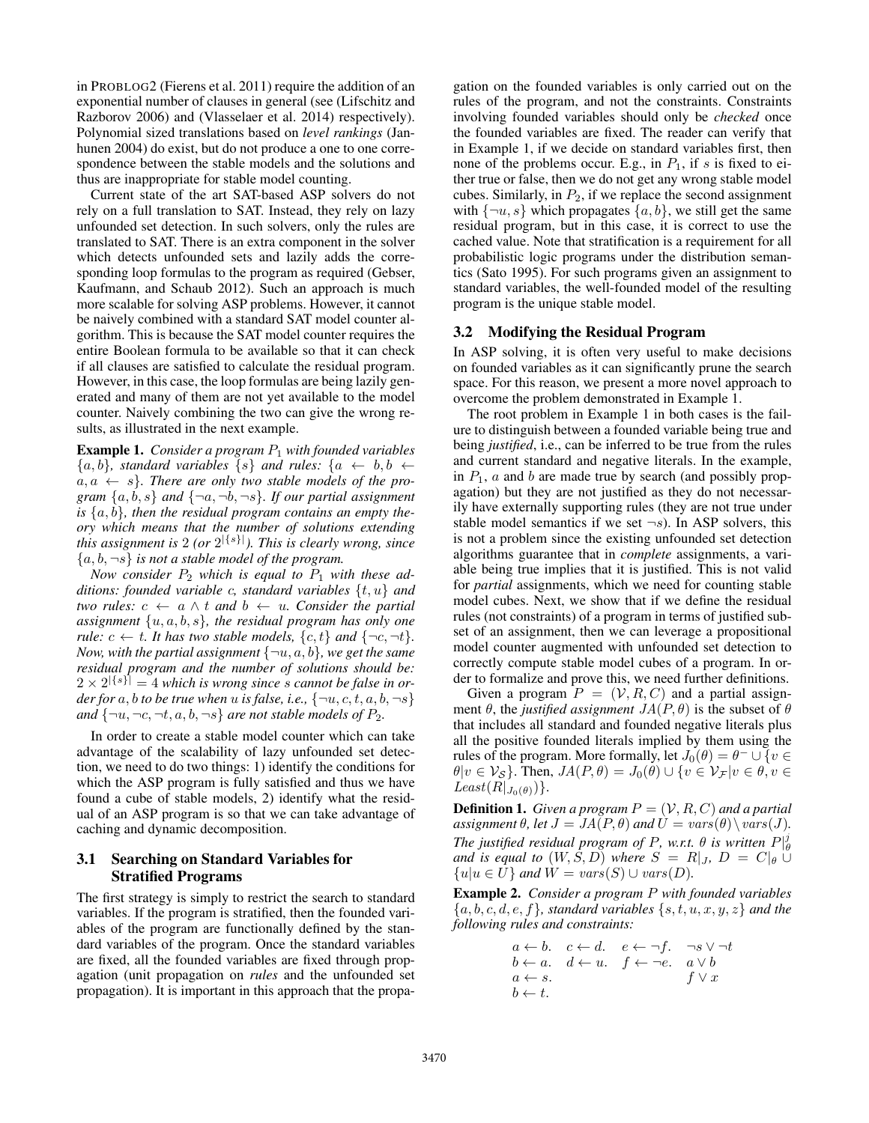in PROBLOG2 (Fierens et al. 2011) require the addition of an exponential number of clauses in general (see (Lifschitz and Razborov 2006) and (Vlasselaer et al. 2014) respectively). Polynomial sized translations based on *level rankings* (Janhunen 2004) do exist, but do not produce a one to one correspondence between the stable models and the solutions and thus are inappropriate for stable model counting.

Current state of the art SAT-based ASP solvers do not rely on a full translation to SAT. Instead, they rely on lazy unfounded set detection. In such solvers, only the rules are translated to SAT. There is an extra component in the solver which detects unfounded sets and lazily adds the corresponding loop formulas to the program as required (Gebser, Kaufmann, and Schaub 2012). Such an approach is much more scalable for solving ASP problems. However, it cannot be naively combined with a standard SAT model counter algorithm. This is because the SAT model counter requires the entire Boolean formula to be available so that it can check if all clauses are satisfied to calculate the residual program. However, in this case, the loop formulas are being lazily generated and many of them are not yet available to the model counter. Naively combining the two can give the wrong results, as illustrated in the next example.

Example 1. *Consider a program* P<sup>1</sup> *with founded variables*  ${a, b}$ *, standard variables*  ${s}$  *and rules:*  ${a \leftarrow b, b \leftarrow a}$  $a, a \leftarrow s$ . There are only two stable models of the pro*gram*  $\{a, b, s\}$  *and*  $\{\neg a, \neg b, \neg s\}$ *. If our partial assignment* is  $\{a, b\}$ , then the residual program contains an empty the*ory which means that the number of solutions extending this assignment is* 2 *(or* 2 |{s}|*). This is clearly wrong, since*  ${a, b, \neg s}$  *is not a stable model of the program.* 

*Now consider*  $P_2$  *which is equal to*  $P_1$  *with these additions: founded variable* c*, standard variables* {t, u} *and two rules:*  $c \leftarrow a \land t$  *and*  $b \leftarrow u$ *. Consider the partial assignment* {u, a, b, s}*, the residual program has only one rule:*  $c \leftarrow t$ *. It has two stable models,*  $\{c, t\}$  *and*  $\{\neg c, \neg t\}$ *. Now, with the partial assignment*  $\{\neg u, a, b\}$ *, we get the same residual program and the number of solutions should be:*  $2 \times 2^{|\{s\}|} = 4$  which is wrong since s cannot be false in or*der for* a, *b to be true when* u *is false, i.e.*,  $\{\neg u, c, t, a, b, \neg s\}$ *and*  $\{\neg u, \neg c, \neg t, a, b, \neg s\}$  *are not stable models of*  $P_2$ *.* 

In order to create a stable model counter which can take advantage of the scalability of lazy unfounded set detection, we need to do two things: 1) identify the conditions for which the ASP program is fully satisfied and thus we have found a cube of stable models, 2) identify what the residual of an ASP program is so that we can take advantage of caching and dynamic decomposition.

# 3.1 Searching on Standard Variables for Stratified Programs

The first strategy is simply to restrict the search to standard variables. If the program is stratified, then the founded variables of the program are functionally defined by the standard variables of the program. Once the standard variables are fixed, all the founded variables are fixed through propagation (unit propagation on *rules* and the unfounded set propagation). It is important in this approach that the propagation on the founded variables is only carried out on the rules of the program, and not the constraints. Constraints involving founded variables should only be *checked* once the founded variables are fixed. The reader can verify that in Example 1, if we decide on standard variables first, then none of the problems occur. E.g., in  $P_1$ , if s is fixed to either true or false, then we do not get any wrong stable model cubes. Similarly, in  $P_2$ , if we replace the second assignment with  $\{\neg u, s\}$  which propagates  $\{a, b\}$ , we still get the same residual program, but in this case, it is correct to use the cached value. Note that stratification is a requirement for all probabilistic logic programs under the distribution semantics (Sato 1995). For such programs given an assignment to standard variables, the well-founded model of the resulting program is the unique stable model.

# 3.2 Modifying the Residual Program

In ASP solving, it is often very useful to make decisions on founded variables as it can significantly prune the search space. For this reason, we present a more novel approach to overcome the problem demonstrated in Example 1.

The root problem in Example 1 in both cases is the failure to distinguish between a founded variable being true and being *justified*, i.e., can be inferred to be true from the rules and current standard and negative literals. In the example, in  $P_1$ , a and b are made true by search (and possibly propagation) but they are not justified as they do not necessarily have externally supporting rules (they are not true under stable model semantics if we set  $\neg s$ ). In ASP solvers, this is not a problem since the existing unfounded set detection algorithms guarantee that in *complete* assignments, a variable being true implies that it is justified. This is not valid for *partial* assignments, which we need for counting stable model cubes. Next, we show that if we define the residual rules (not constraints) of a program in terms of justified subset of an assignment, then we can leverage a propositional model counter augmented with unfounded set detection to correctly compute stable model cubes of a program. In order to formalize and prove this, we need further definitions.

Given a program  $P = (\mathcal{V}, R, C)$  and a partial assignment  $\theta$ , the *justified assignment*  $JA(P, \theta)$  is the subset of  $\theta$ that includes all standard and founded negative literals plus all the positive founded literals implied by them using the rules of the program. More formally, let  $J_0(\theta) = \theta^- \cup \{v \in$  $\theta|v \in V_{\mathcal{S}}\}$ . Then,  $JA(P, \theta) = J_0(\theta) \cup \{v \in V_{\mathcal{F}} | v \in \theta, v \in V_{\mathcal{S}}\}$  $Least(R|_{J_0(\theta)})\}.$ 

**Definition 1.** *Given a program*  $P = (\mathcal{V}, R, C)$  *and a partial assignment*  $\theta$ *, let*  $J = JA(P, \theta)$  *and*  $U = vars(\theta) \setminus vars(J)$ *. The justified residual program of P, w.r.t.*  $\theta$  *is written*  $P|_{\theta}^{j}$ *and is equal to*  $(W, \hat{S}, D)$  *where*  $S = R|_J$ ,  $D = C|_b$   $\cup$  ${u|u \in \hat{U}}$  *and*  $\hat{W} = vars(S) \cup vars(D)$ *.* 

Example 2. *Consider a program* P *with founded variables*  ${a, b, c, d, e, f}$ *, standard variables*  ${s, t, u, x, y, z}$  *and the following rules and constraints:*

$$
a \leftarrow b. \quad c \leftarrow d. \quad e \leftarrow \neg f. \quad \neg s \vee \neg tb \leftarrow a. \quad d \leftarrow u. \quad f \leftarrow \neg e. \quad a \vee ba \leftarrow s. \quad f \vee xb \leftarrow t.
$$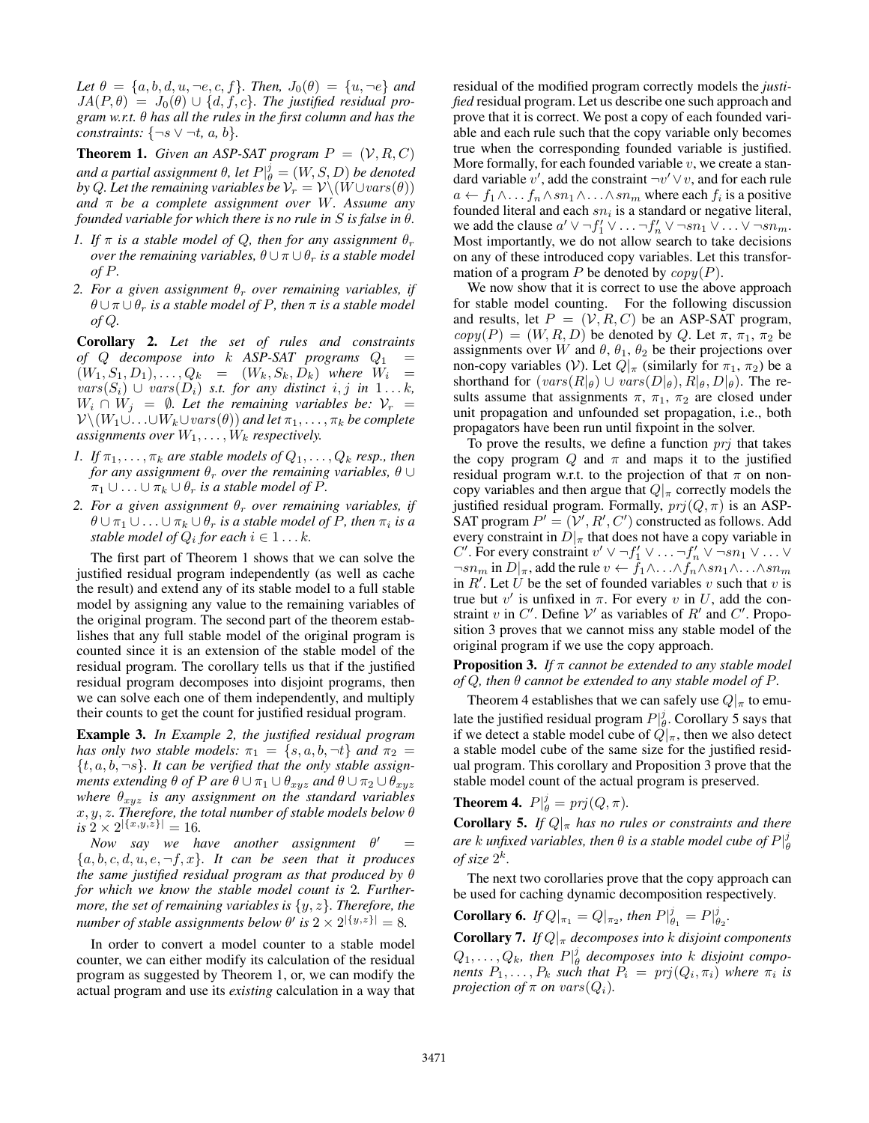*Let*  $\theta = \{a, b, d, u, \neg e, c, f\}$ *. Then,*  $J_0(\theta) = \{u, \neg e\}$  *and*  $JA(P, \theta) = J_0(\theta) \cup \{d, f, c\}$ *. The justified residual program w.r.t.* θ *has all the rules in the first column and has the constraints:*  $\{\neg s \lor \neg t, a, b\}$ *.* 

**Theorem 1.** *Given an ASP-SAT program*  $P = (\mathcal{V}, R, C)$ and a partial assignment  $\theta$ , let  $P|_\theta^j = (W, S, D)$  be denoted *by* Q. Let the remaining variables be  $V_r = V \setminus (W \cup vars(\theta))$ *and* π *be a complete assignment over* W*. Assume any founded variable for which there is no rule in* S *is false in* θ*.*

- *1. If*  $\pi$  *is a stable model of Q, then for any assignment*  $\theta_r$ *over the remaining variables,*  $\theta \cup \pi \cup \theta_r$  *is a stable model of* P*.*
- *2. For a given assignment*  $\theta_r$  *over remaining variables, if*  $\theta \cup \pi \cup \theta_r$  *is a stable model of P, then*  $\pi$  *is a stable model of* Q*.*

Corollary 2. *Let the set of rules and constraints of* Q *decompose into* k *ASP-SAT programs* Q<sup>1</sup> =  $(W_1, S_1, D_1), \ldots, Q_k = (W_k, S_k, D_k)$  where  $W_i =$  $vars(S_i)$  ∪  $vars(D_i)$  *s.t. for any distinct i, j in* 1...*k*,  $W_i \cap W_j = \emptyset$ . Let the remaining variables be:  $V_r =$  $\mathcal{V} \setminus (W_1 \cup \ldots \cup W_k \cup vars(\theta))$  *and let*  $\pi_1, \ldots, \pi_k$  *be complete assignments over*  $W_1, \ldots, W_k$  *respectively.* 

- *1.* If  $\pi_1, \ldots, \pi_k$  are stable models of  $Q_1, \ldots, Q_k$  resp., then *for any assignment*  $\theta_r$  *over the remaining variables,*  $\theta \cup$  $\pi_1 \cup \ldots \cup \pi_k \cup \theta_r$  *is a stable model of P.*
- *2. For a given assignment*  $\theta_r$  *over remaining variables, if*  $\theta \cup \pi_1 \cup \ldots \cup \pi_k \cup \theta_r$  *is a stable model of P, then*  $\pi_i$  *is a stable model of*  $Q_i$  *for each*  $i \in 1 \ldots k$ *.*

The first part of Theorem 1 shows that we can solve the justified residual program independently (as well as cache the result) and extend any of its stable model to a full stable model by assigning any value to the remaining variables of the original program. The second part of the theorem establishes that any full stable model of the original program is counted since it is an extension of the stable model of the residual program. The corollary tells us that if the justified residual program decomposes into disjoint programs, then we can solve each one of them independently, and multiply their counts to get the count for justified residual program.

Example 3. *In Example 2, the justified residual program has only two stable models:*  $\pi_1 = \{s, a, b, \neg t\}$  *and*  $\pi_2 =$ {t, a, b, ¬s}*. It can be verified that the only stable assignments extending*  $\theta$  *of*  $P$  *are*  $\theta \cup \pi_1 \cup \theta_{xyz}$  *and*  $\theta \cup \pi_2 \cup \theta_{xyz}$ *where*  $\theta_{xyz}$  *is any assignment on the standard variables* x, y, z*. Therefore, the total number of stable models below* θ  $i s \ 2 \times 2^{|\{x,y,z\}|} = 16.$ 

*Now say we have another assignment*  $\theta' =$  ${a, b, c, d, u, e, \neg f, x}$ *. It can be seen that it produces the same justified residual program as that produced by* θ *for which we know the stable model count is* 2*. Furthermore, the set of remaining variables is* {y, z}*. Therefore, the number of stable assignments below*  $\theta'$  *is*  $2 \times 2^{|\{y,z\}|} = 8$ *.* 

In order to convert a model counter to a stable model counter, we can either modify its calculation of the residual program as suggested by Theorem 1, or, we can modify the actual program and use its *existing* calculation in a way that residual of the modified program correctly models the *justified* residual program. Let us describe one such approach and prove that it is correct. We post a copy of each founded variable and each rule such that the copy variable only becomes true when the corresponding founded variable is justified. More formally, for each founded variable  $v$ , we create a standard variable  $v'$ , add the constraint  $\neg v' \vee v$ , and for each rule  $a \leftarrow f_1 \wedge \ldots \wedge s n_1 \wedge \ldots \wedge s n_m$  where each  $f_i$  is a positive founded literal and each  $sn_i$  is a standard or negative literal, we add the clause  $a' \vee \neg f'_1 \vee \dots \neg f'_n \vee \neg sn_1 \vee \dots \vee \neg sn_m$ . Most importantly, we do not allow search to take decisions on any of these introduced copy variables. Let this transformation of a program P be denoted by  $\mathit{copy}(P)$ .

We now show that it is correct to use the above approach for stable model counting. For the following discussion and results, let  $P = (\nu, R, C)$  be an ASP-SAT program,  $copy(P) = (W, R, D)$  be denoted by Q. Let  $\pi$ ,  $\pi_1$ ,  $\pi_2$  be assignments over W and  $\theta$ ,  $\theta_1$ ,  $\theta_2$  be their projections over non-copy variables (V). Let  $Q|_{\pi}$  (similarly for  $\pi_1$ ,  $\pi_2$ ) be a shorthand for  $(vars(R|_{\theta}) \cup vars(D|_{\theta}), R|_{\theta}, D|_{\theta})$ . The results assume that assignments  $\pi$ ,  $\pi_1$ ,  $\pi_2$  are closed under unit propagation and unfounded set propagation, i.e., both propagators have been run until fixpoint in the solver.

To prove the results, we define a function  $\pi r j$  that takes the copy program Q and  $\pi$  and maps it to the justified residual program w.r.t. to the projection of that  $\pi$  on noncopy variables and then argue that  $Q|_{\pi}$  correctly models the justified residual program. Formally,  $\text{prj}(Q, \pi)$  is an ASP-SAT program  $P' = (\nu', R', C')$  constructed as follows. Add every constraint in  $D|_{\pi}$  that does not have a copy variable in C'. For every constraint  $v' \vee \neg f'_1 \vee \dots \neg f'_n \vee \neg sn_1 \vee \dots \vee$  $\neg sn_m$  in  $D|_{\pi}$ , add the rule  $v \leftarrow f_1 \wedge \ldots \wedge f_n \wedge sn_1 \wedge \ldots \wedge sn_m$ in  $R'$ . Let U be the set of founded variables v such that v is true but  $v'$  is unfixed in  $\pi$ . For every  $v$  in  $U$ , add the constraint v in C'. Define  $V'$  as variables of  $R'$  and C'. Proposition 3 proves that we cannot miss any stable model of the original program if we use the copy approach.

#### Proposition 3. *If* π *cannot be extended to any stable model of*  $Q$ , then  $\theta$  *cannot be extended to any stable model of*  $P$ *.*

Theorem 4 establishes that we can safely use  $Q|_{\pi}$  to emulate the justified residual program  $P_{\theta}^{j}$ . Corollary 5 says that if we detect a stable model cube of  $\ddot{Q}|_{\pi}$ , then we also detect a stable model cube of the same size for the justified residual program. This corollary and Proposition 3 prove that the stable model count of the actual program is preserved.

**Theorem 4.**  $P|_{\theta}^{j} = prj(Q, \pi)$ .

**Corollary 5.** *If*  $Q|_{\pi}$  *has no rules or constraints and there* are  $k$  unfixed variables, then  $\theta$  is a stable model cube of  $P|_\theta^j$ of size  $2^k$ .

The next two corollaries prove that the copy approach can be used for caching dynamic decomposition respectively.

**Corollary 6.** *If*  $Q|_{\pi_1} = Q|_{\pi_2}$ , then  $P|_{\theta_1}^j = P|_{\theta_2}^j$ .

**Corollary 7.** *If*  $Q|_{\pi}$  *decomposes into k disjoint components*  $Q_1, \ldots, Q_k$ , then  $P|_\theta^j$  decomposes into k disjoint compo*nents*  $P_1, \ldots, P_k$  *such that*  $P_i = p r j(Q_i, \pi_i)$  *where*  $\pi_i$  *is projection of*  $\pi$  *on* vars $(Q_i)$ *.*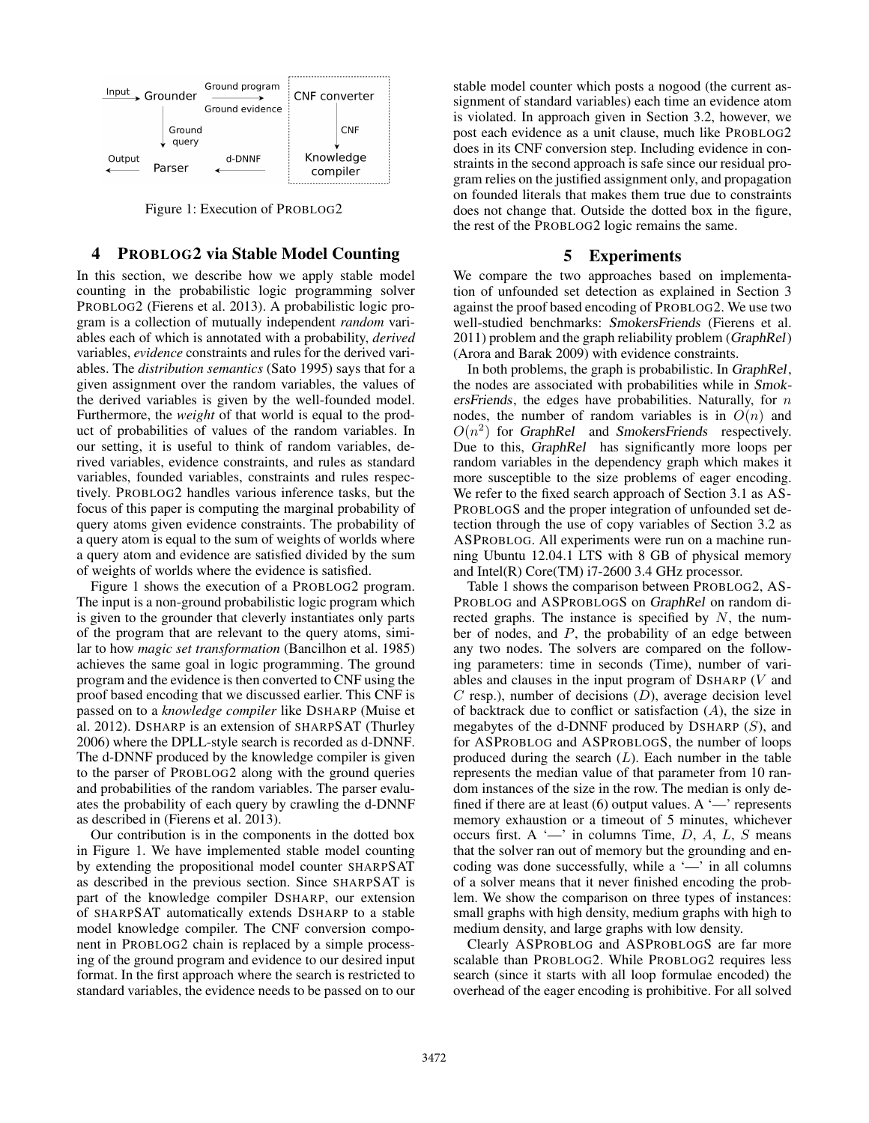

Figure 1: Execution of PROBLOG2

# 4 PROBLOG2 via Stable Model Counting

In this section, we describe how we apply stable model counting in the probabilistic logic programming solver PROBLOG2 (Fierens et al. 2013). A probabilistic logic program is a collection of mutually independent *random* variables each of which is annotated with a probability, *derived* variables, *evidence* constraints and rules for the derived variables. The *distribution semantics* (Sato 1995) says that for a given assignment over the random variables, the values of the derived variables is given by the well-founded model. Furthermore, the *weight* of that world is equal to the product of probabilities of values of the random variables. In our setting, it is useful to think of random variables, derived variables, evidence constraints, and rules as standard variables, founded variables, constraints and rules respectively. PROBLOG2 handles various inference tasks, but the focus of this paper is computing the marginal probability of query atoms given evidence constraints. The probability of a query atom is equal to the sum of weights of worlds where a query atom and evidence are satisfied divided by the sum of weights of worlds where the evidence is satisfied.

Figure 1 shows the execution of a PROBLOG2 program. The input is a non-ground probabilistic logic program which is given to the grounder that cleverly instantiates only parts of the program that are relevant to the query atoms, similar to how *magic set transformation* (Bancilhon et al. 1985) achieves the same goal in logic programming. The ground program and the evidence is then converted to CNF using the proof based encoding that we discussed earlier. This CNF is passed on to a *knowledge compiler* like DSHARP (Muise et al. 2012). DSHARP is an extension of SHARPSAT (Thurley 2006) where the DPLL-style search is recorded as d-DNNF. The d-DNNF produced by the knowledge compiler is given to the parser of PROBLOG2 along with the ground queries and probabilities of the random variables. The parser evaluates the probability of each query by crawling the d-DNNF as described in (Fierens et al. 2013).

Our contribution is in the components in the dotted box in Figure 1. We have implemented stable model counting by extending the propositional model counter SHARPSAT as described in the previous section. Since SHARPSAT is part of the knowledge compiler DSHARP, our extension of SHARPSAT automatically extends DSHARP to a stable model knowledge compiler. The CNF conversion component in PROBLOG2 chain is replaced by a simple processing of the ground program and evidence to our desired input format. In the first approach where the search is restricted to standard variables, the evidence needs to be passed on to our

stable model counter which posts a nogood (the current assignment of standard variables) each time an evidence atom is violated. In approach given in Section 3.2, however, we post each evidence as a unit clause, much like PROBLOG2 does in its CNF conversion step. Including evidence in constraints in the second approach is safe since our residual program relies on the justified assignment only, and propagation on founded literals that makes them true due to constraints does not change that. Outside the dotted box in the figure, the rest of the PROBLOG2 logic remains the same.

# 5 Experiments

We compare the two approaches based on implementation of unfounded set detection as explained in Section 3 against the proof based encoding of PROBLOG2. We use two well-studied benchmarks: SmokersFriends (Fierens et al. 2011) problem and the graph reliability problem (GraphRel) (Arora and Barak 2009) with evidence constraints.

In both problems, the graph is probabilistic. In GraphRel, the nodes are associated with probabilities while in SmokersFriends, the edges have probabilities. Naturally, for  $n$ nodes, the number of random variables is in  $O(n)$  and  $O(n^2)$  for GraphRel and SmokersFriends respectively. Due to this, GraphRel has significantly more loops per random variables in the dependency graph which makes it more susceptible to the size problems of eager encoding. We refer to the fixed search approach of Section 3.1 as AS-PROBLOGS and the proper integration of unfounded set detection through the use of copy variables of Section 3.2 as ASPROBLOG. All experiments were run on a machine running Ubuntu 12.04.1 LTS with 8 GB of physical memory and Intel(R) Core(TM) i7-2600 3.4 GHz processor.

Table 1 shows the comparison between PROBLOG2, AS-PROBLOG and ASPROBLOGS on GraphRel on random directed graphs. The instance is specified by  $N$ , the number of nodes, and  $P$ , the probability of an edge between any two nodes. The solvers are compared on the following parameters: time in seconds (Time), number of variables and clauses in the input program of DSHARP (V and  $C$  resp.), number of decisions  $(D)$ , average decision level of backtrack due to conflict or satisfaction  $(A)$ , the size in megabytes of the d-DNNF produced by DSHARP  $(S)$ , and for ASPROBLOG and ASPROBLOGS, the number of loops produced during the search  $(L)$ . Each number in the table represents the median value of that parameter from 10 random instances of the size in the row. The median is only defined if there are at least (6) output values. A  $\rightarrow$  represents memory exhaustion or a timeout of 5 minutes, whichever occurs first. A '—' in columns Time,  $D$ ,  $A$ ,  $L$ ,  $S$  means that the solver ran out of memory but the grounding and encoding was done successfully, while a '—' in all columns of a solver means that it never finished encoding the problem. We show the comparison on three types of instances: small graphs with high density, medium graphs with high to medium density, and large graphs with low density.

Clearly ASPROBLOG and ASPROBLOGS are far more scalable than PROBLOG2. While PROBLOG2 requires less search (since it starts with all loop formulae encoded) the overhead of the eager encoding is prohibitive. For all solved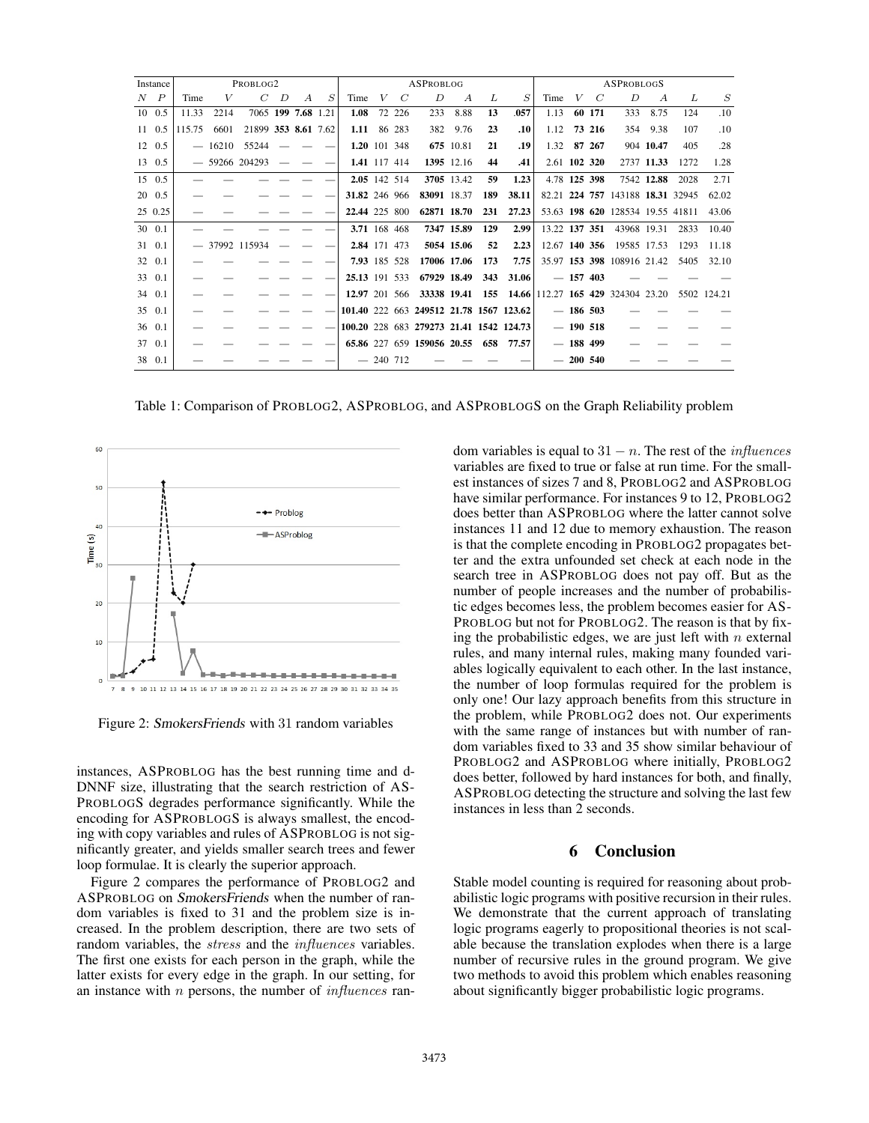| Instance      | PROBLOG2 |          |                     |       |                |   | ASPROBLOG     |         |               |                                                                 |                |     |                | ASPROBLOGS    |  |             |                                  |                |      |             |
|---------------|----------|----------|---------------------|-------|----------------|---|---------------|---------|---------------|-----------------------------------------------------------------|----------------|-----|----------------|---------------|--|-------------|----------------------------------|----------------|------|-------------|
| $N$ $P$       | Time     | V        |                     | $C$ D | $\overline{A}$ | S | Time          | $V_{-}$ | $\mathcal{C}$ | D                                                               | $\overline{A}$ | L   | $\overline{S}$ | Time          |  | $V \quad C$ | D                                | $\overline{A}$ | L    | S           |
| $10 \t 0.5$   | 11.33    | 2214     | 7065 199 7.68 1.21  |       |                |   | 1.08          |         | 72 226        | 233                                                             | 8.88           | 13  | .057           | 1.13          |  | 60 171      | 333                              | 8.75           | 124  | .10         |
| 11 0.5        | 115.75   | 6601     | 21899 353 8.61 7.62 |       |                |   | 1.11 86 283   |         |               |                                                                 | 382 9.76       | 23  | .10            | 1.12          |  | 73 216      | 354                              | 9.38           | 107  | .10         |
| 12 0.5        |          | $-16210$ | 55244               |       |                |   | 1.20 101 348  |         |               |                                                                 | 675 10.81      | 21  | .19            | 1.32 87 267   |  |             |                                  | 904 10.47      | 405  | .28         |
| 13 0.5        |          |          | $-59266$ 204293     |       |                |   | 1.41 117 414  |         |               |                                                                 | 1395 12.16     | 44  | .41            | 2.61 102 320  |  |             |                                  | 2737 11.33     | 1272 | 1.28        |
| 15 0.5        |          |          |                     |       |                |   | 2.05 142 514  |         |               |                                                                 | 3705 13.42     | 59  | 1.23           | 4.78 125 398  |  |             |                                  | 7542 12.88     | 2028 | 2.71        |
| $20\quad 0.5$ |          |          |                     |       |                |   | 31.82 246 966 |         |               | 83091 18.37                                                     |                | 189 | 38.11          |               |  |             | 82.21 224 757 143188 18.31 32945 |                |      | 62.02       |
| 25 0.25       |          |          |                     |       |                |   | 22.44 225 800 |         |               | 62871 18.70                                                     |                | 231 | 27.23          |               |  |             | 53.63 198 620 128534 19.55 41811 |                |      | 43.06       |
| 30 0.1        |          |          |                     |       |                |   |               |         | 3.71 168 468  |                                                                 | 7347 15.89     | 129 | 2.99           | 13.22 137 351 |  |             | 43968 19.31                      |                | 2833 | 10.40       |
| 31 0.1        |          |          | $-37992$ 115934     |       |                |   | 2.84 171 473  |         |               |                                                                 | 5054 15.06     | 52  | 2.23           | 12.67 140 356 |  |             | 19585 17.53                      |                | 1293 | 11.18       |
| 32 0.1        |          |          |                     |       |                |   | 7.93 185 528  |         |               | 17006 17.06                                                     |                | 173 | 7.75           |               |  |             | 35.97 153 398 108916 21.42       |                | 5405 | 32.10       |
| 33 0.1        |          |          |                     |       |                |   | 25.13 191 533 |         |               | 67929 18.49                                                     |                | 343 | 31.06          |               |  | $-157403$   |                                  |                |      |             |
| 34 0.1        |          |          |                     |       |                |   |               |         |               | 12.97 201 566 33338 19.41 155 14.66 112.27 165 429 324304 23.20 |                |     |                |               |  |             |                                  |                |      | 5502 124.21 |
| 35 0.1        |          |          |                     |       |                |   |               |         |               | 101.40 222 663 249512 21.78 1567 123.62                         |                |     |                |               |  | $-186,503$  |                                  |                |      |             |
| 36 0.1        |          |          |                     |       |                |   |               |         |               | 100.20 228 683 279273 21.41 1542 124.73                         |                |     |                |               |  | $-190518$   |                                  |                |      |             |
| 37 0.1        |          |          |                     |       |                |   |               |         |               | 65.86 227 659 159056 20.55 658 77.57                            |                |     |                |               |  | $-188$ 499  |                                  |                |      |             |
| 38 0.1        |          |          |                     |       |                |   |               |         | $-240$ 712    |                                                                 |                |     |                |               |  | $-200,540$  |                                  |                |      |             |

Table 1: Comparison of PROBLOG2, ASPROBLOG, and ASPROBLOGS on the Graph Reliability problem



Figure 2: SmokersFriends with 31 random variables

instances, ASPROBLOG has the best running time and d-DNNF size, illustrating that the search restriction of AS-PROBLOGS degrades performance significantly. While the encoding for ASPROBLOGS is always smallest, the encoding with copy variables and rules of ASPROBLOG is not significantly greater, and yields smaller search trees and fewer loop formulae. It is clearly the superior approach.

Figure 2 compares the performance of PROBLOG2 and ASPROBLOG on SmokersFriends when the number of random variables is fixed to 31 and the problem size is increased. In the problem description, there are two sets of random variables, the stress and the influences variables. The first one exists for each person in the graph, while the latter exists for every edge in the graph. In our setting, for an instance with  $n$  persons, the number of *influences* random variables is equal to  $31 - n$ . The rest of the *influences* variables are fixed to true or false at run time. For the smallest instances of sizes 7 and 8, PROBLOG2 and ASPROBLOG have similar performance. For instances 9 to 12, PROBLOG2 does better than ASPROBLOG where the latter cannot solve instances 11 and 12 due to memory exhaustion. The reason is that the complete encoding in PROBLOG2 propagates better and the extra unfounded set check at each node in the search tree in ASPROBLOG does not pay off. But as the number of people increases and the number of probabilistic edges becomes less, the problem becomes easier for AS-PROBLOG but not for PROBLOG2. The reason is that by fixing the probabilistic edges, we are just left with  $n$  external rules, and many internal rules, making many founded variables logically equivalent to each other. In the last instance, the number of loop formulas required for the problem is only one! Our lazy approach benefits from this structure in the problem, while PROBLOG2 does not. Our experiments with the same range of instances but with number of random variables fixed to 33 and 35 show similar behaviour of PROBLOG2 and ASPROBLOG where initially, PROBLOG2 does better, followed by hard instances for both, and finally, ASPROBLOG detecting the structure and solving the last few instances in less than 2 seconds.

# 6 Conclusion

Stable model counting is required for reasoning about probabilistic logic programs with positive recursion in their rules. We demonstrate that the current approach of translating logic programs eagerly to propositional theories is not scalable because the translation explodes when there is a large number of recursive rules in the ground program. We give two methods to avoid this problem which enables reasoning about significantly bigger probabilistic logic programs.